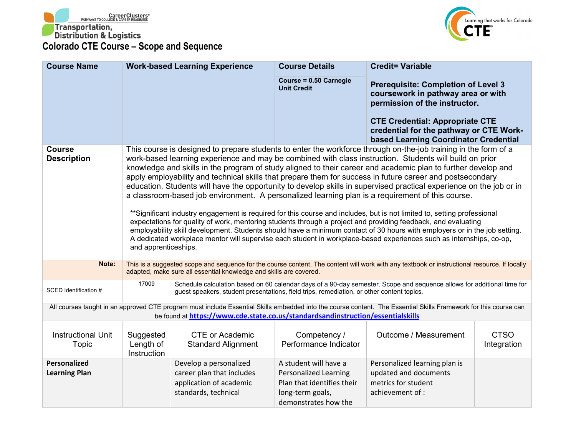



| <b>Course Name</b>                   |                                                                                                                                                                                                                                                                                                                                                                                                                                                                                                                                                                                                                                                                                                                                                                                                                                                                                                                                                                                                                                                                                                                                                                                                             | <b>Work-based Learning Experience</b>                                                                  | <b>Course Details</b>                                                                                                           | <b>Credit= Variable</b>                                                                                                                                          |                            |
|--------------------------------------|-------------------------------------------------------------------------------------------------------------------------------------------------------------------------------------------------------------------------------------------------------------------------------------------------------------------------------------------------------------------------------------------------------------------------------------------------------------------------------------------------------------------------------------------------------------------------------------------------------------------------------------------------------------------------------------------------------------------------------------------------------------------------------------------------------------------------------------------------------------------------------------------------------------------------------------------------------------------------------------------------------------------------------------------------------------------------------------------------------------------------------------------------------------------------------------------------------------|--------------------------------------------------------------------------------------------------------|---------------------------------------------------------------------------------------------------------------------------------|------------------------------------------------------------------------------------------------------------------------------------------------------------------|----------------------------|
|                                      |                                                                                                                                                                                                                                                                                                                                                                                                                                                                                                                                                                                                                                                                                                                                                                                                                                                                                                                                                                                                                                                                                                                                                                                                             |                                                                                                        | Course = 0.50 Carnegie<br><b>Unit Credit</b>                                                                                    | <b>Prerequisite: Completion of Level 3</b><br>coursework in pathway area or with<br>permission of the instructor.<br><b>CTE Credential: Appropriate CTE</b>      |                            |
|                                      |                                                                                                                                                                                                                                                                                                                                                                                                                                                                                                                                                                                                                                                                                                                                                                                                                                                                                                                                                                                                                                                                                                                                                                                                             |                                                                                                        |                                                                                                                                 | credential for the pathway or CTE Work-<br>based Learning Coordinator Credential                                                                                 |                            |
| <b>Course</b><br><b>Description</b>  | This course is designed to prepare students to enter the workforce through on-the-job training in the form of a<br>work-based learning experience and may be combined with class instruction. Students will build on prior<br>knowledge and skills in the program of study aligned to their career and academic plan to further develop and<br>apply employability and technical skills that prepare them for success in future career and postsecondary<br>education. Students will have the opportunity to develop skills in supervised practical experience on the job or in<br>a classroom-based job environment. A personalized learning plan is a requirement of this course.<br>**Significant industry engagement is required for this course and includes, but is not limited to, setting professional<br>expectations for quality of work, mentoring students through a project and providing feedback, and evaluating<br>employability skill development. Students should have a minimum contact of 30 hours with employers or in the job setting.<br>A dedicated workplace mentor will supervise each student in workplace-based experiences such as internships, co-op,<br>and apprenticeships. |                                                                                                        |                                                                                                                                 |                                                                                                                                                                  |                            |
| Note:                                |                                                                                                                                                                                                                                                                                                                                                                                                                                                                                                                                                                                                                                                                                                                                                                                                                                                                                                                                                                                                                                                                                                                                                                                                             | adapted, make sure all essential knowledge and skills are covered.                                     |                                                                                                                                 | This is a suggested scope and sequence for the course content. The content will work with any textbook or instructional resource. If locally                     |                            |
| SCED Identification #                | 17009                                                                                                                                                                                                                                                                                                                                                                                                                                                                                                                                                                                                                                                                                                                                                                                                                                                                                                                                                                                                                                                                                                                                                                                                       | guest speakers, student presentations, field trips, remediation, or other content topics.              |                                                                                                                                 | Schedule calculation based on 60 calendar days of a 90-day semester. Scope and sequence allows for additional time for                                           |                            |
|                                      |                                                                                                                                                                                                                                                                                                                                                                                                                                                                                                                                                                                                                                                                                                                                                                                                                                                                                                                                                                                                                                                                                                                                                                                                             | be found at https://www.cde.state.co.us/standardsandinstruction/essentialskills                        |                                                                                                                                 | All courses taught in an approved CTE program must include Essential Skills embedded into the course content. The Essential Skills Framework for this course can |                            |
| <b>Instructional Unit</b><br>Topic   | Suggested<br>Length of<br><b>Instruction</b>                                                                                                                                                                                                                                                                                                                                                                                                                                                                                                                                                                                                                                                                                                                                                                                                                                                                                                                                                                                                                                                                                                                                                                | <b>CTE or Academic</b><br><b>Standard Alignment</b>                                                    | Competency /<br>Performance Indicator                                                                                           | Outcome / Measurement                                                                                                                                            | <b>CTSO</b><br>Integration |
| Personalized<br><b>Learning Plan</b> |                                                                                                                                                                                                                                                                                                                                                                                                                                                                                                                                                                                                                                                                                                                                                                                                                                                                                                                                                                                                                                                                                                                                                                                                             | Develop a personalized<br>career plan that includes<br>application of academic<br>standards, technical | A student will have a<br><b>Personalized Learning</b><br>Plan that identifies their<br>long-term goals,<br>demonstrates how the | Personalized learning plan is<br>updated and documents<br>metrics for student<br>achievement of :                                                                |                            |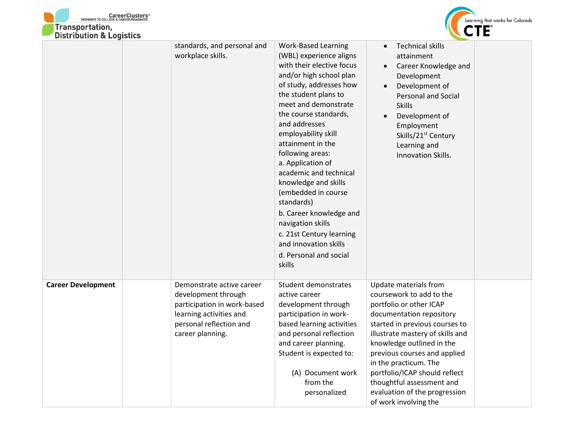



|                           | standards, and personal and<br>workplace skills.                                                                                                          | <b>Work-Based Learning</b><br>(WBL) experience aligns<br>with their elective focus<br>and/or high school plan<br>of study, addresses how<br>the student plans to<br>meet and demonstrate<br>the course standards,<br>and addresses<br>employability skill<br>attainment in the<br>following areas:<br>a. Application of<br>academic and technical<br>knowledge and skills<br>(embedded in course<br>standards)<br>b. Career knowledge and<br>navigation skills<br>c. 21st Century learning<br>and innovation skills<br>d. Personal and social<br>skills | <b>Technical skills</b><br>attainment<br>Career Knowledge and<br>Development<br>Development of<br><b>Personal and Social</b><br><b>Skills</b><br>Development of<br>Employment<br>Skills/21 <sup>st</sup> Century<br>Learning and<br><b>Innovation Skills.</b>                                                                                                                                |  |
|---------------------------|-----------------------------------------------------------------------------------------------------------------------------------------------------------|---------------------------------------------------------------------------------------------------------------------------------------------------------------------------------------------------------------------------------------------------------------------------------------------------------------------------------------------------------------------------------------------------------------------------------------------------------------------------------------------------------------------------------------------------------|----------------------------------------------------------------------------------------------------------------------------------------------------------------------------------------------------------------------------------------------------------------------------------------------------------------------------------------------------------------------------------------------|--|
| <b>Career Development</b> | Demonstrate active career<br>development through<br>participation in work-based<br>learning activities and<br>personal reflection and<br>career planning. | Student demonstrates<br>active career<br>development through<br>participation in work-<br>based learning activities<br>and personal reflection<br>and career planning.<br>Student is expected to:<br>(A) Document work<br>from the<br>personalized                                                                                                                                                                                                                                                                                                      | Update materials from<br>coursework to add to the<br>portfolio or other ICAP<br>documentation repository<br>started in previous courses to<br>illustrate mastery of skills and<br>knowledge outlined in the<br>previous courses and applied<br>in the practicum. The<br>portfolio/ICAP should reflect<br>thoughtful assessment and<br>evaluation of the progression<br>of work involving the |  |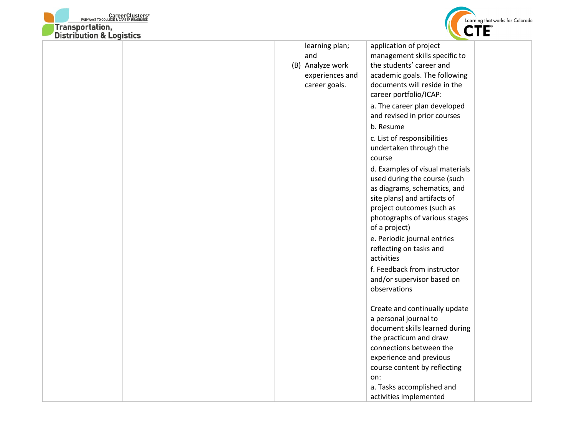



| DISTRIBUTION & LOGISTICS |                  |                                 |  |
|--------------------------|------------------|---------------------------------|--|
|                          | learning plan;   | application of project          |  |
|                          | and              | management skills specific to   |  |
|                          | (B) Analyze work | the students' career and        |  |
|                          | experiences and  | academic goals. The following   |  |
|                          | career goals.    | documents will reside in the    |  |
|                          |                  | career portfolio/ICAP:          |  |
|                          |                  | a. The career plan developed    |  |
|                          |                  | and revised in prior courses    |  |
|                          |                  | b. Resume                       |  |
|                          |                  | c. List of responsibilities     |  |
|                          |                  | undertaken through the          |  |
|                          |                  | course                          |  |
|                          |                  | d. Examples of visual materials |  |
|                          |                  | used during the course (such    |  |
|                          |                  | as diagrams, schematics, and    |  |
|                          |                  | site plans) and artifacts of    |  |
|                          |                  | project outcomes (such as       |  |
|                          |                  | photographs of various stages   |  |
|                          |                  | of a project)                   |  |
|                          |                  | e. Periodic journal entries     |  |
|                          |                  | reflecting on tasks and         |  |
|                          |                  | activities                      |  |
|                          |                  | f. Feedback from instructor     |  |
|                          |                  | and/or supervisor based on      |  |
|                          |                  | observations                    |  |
|                          |                  |                                 |  |
|                          |                  | Create and continually update   |  |
|                          |                  | a personal journal to           |  |
|                          |                  | document skills learned during  |  |
|                          |                  | the practicum and draw          |  |
|                          |                  | connections between the         |  |
|                          |                  | experience and previous         |  |
|                          |                  | course content by reflecting    |  |
|                          |                  | on:                             |  |
|                          |                  | a. Tasks accomplished and       |  |
|                          |                  | activities implemented          |  |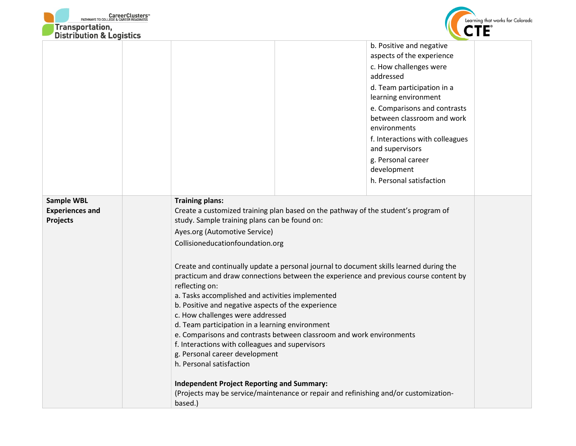



| <b>DISTRIBUTION &amp; LOGISTICS</b> |                                                                                        |                                                     |  |  |
|-------------------------------------|----------------------------------------------------------------------------------------|-----------------------------------------------------|--|--|
|                                     |                                                                                        | b. Positive and negative                            |  |  |
|                                     |                                                                                        | aspects of the experience<br>c. How challenges were |  |  |
|                                     |                                                                                        | addressed                                           |  |  |
|                                     |                                                                                        | d. Team participation in a                          |  |  |
|                                     |                                                                                        | learning environment                                |  |  |
|                                     |                                                                                        | e. Comparisons and contrasts                        |  |  |
|                                     |                                                                                        | between classroom and work<br>environments          |  |  |
|                                     |                                                                                        | f. Interactions with colleagues                     |  |  |
|                                     |                                                                                        | and supervisors                                     |  |  |
|                                     |                                                                                        | g. Personal career                                  |  |  |
|                                     |                                                                                        | development                                         |  |  |
|                                     |                                                                                        | h. Personal satisfaction                            |  |  |
| <b>Sample WBL</b>                   | <b>Training plans:</b>                                                                 |                                                     |  |  |
| <b>Experiences and</b>              | Create a customized training plan based on the pathway of the student's program of     |                                                     |  |  |
| Projects                            | study. Sample training plans can be found on:                                          |                                                     |  |  |
|                                     | Ayes.org (Automotive Service)                                                          |                                                     |  |  |
|                                     | Collisioneducationfoundation.org                                                       |                                                     |  |  |
|                                     | Create and continually update a personal journal to document skills learned during the |                                                     |  |  |
|                                     | practicum and draw connections between the experience and previous course content by   |                                                     |  |  |
|                                     | reflecting on:                                                                         |                                                     |  |  |
|                                     | a. Tasks accomplished and activities implemented                                       |                                                     |  |  |
|                                     | b. Positive and negative aspects of the experience<br>c. How challenges were addressed |                                                     |  |  |
|                                     | d. Team participation in a learning environment                                        |                                                     |  |  |
|                                     | e. Comparisons and contrasts between classroom and work environments                   |                                                     |  |  |
|                                     | f. Interactions with colleagues and supervisors                                        |                                                     |  |  |
|                                     | g. Personal career development<br>h. Personal satisfaction                             |                                                     |  |  |
|                                     |                                                                                        |                                                     |  |  |
|                                     | <b>Independent Project Reporting and Summary:</b>                                      |                                                     |  |  |
|                                     | (Projects may be service/maintenance or repair and refinishing and/or customization-   |                                                     |  |  |
|                                     | based.)                                                                                |                                                     |  |  |